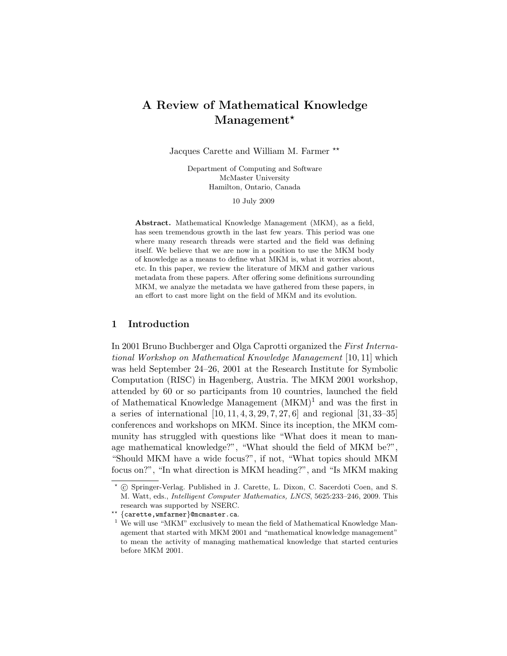# A Review of Mathematical Knowledge Management<sup>\*</sup>

Jacques Carette and William M. Farmer  $**$ 

Department of Computing and Software McMaster University Hamilton, Ontario, Canada

10 July 2009

Abstract. Mathematical Knowledge Management (MKM), as a field, has seen tremendous growth in the last few years. This period was one where many research threads were started and the field was defining itself. We believe that we are now in a position to use the MKM body of knowledge as a means to define what MKM is, what it worries about, etc. In this paper, we review the literature of MKM and gather various metadata from these papers. After offering some definitions surrounding MKM, we analyze the metadata we have gathered from these papers, in an effort to cast more light on the field of MKM and its evolution.

## 1 Introduction

In 2001 Bruno Buchberger and Olga Caprotti organized the First International Workshop on Mathematical Knowledge Management [10, 11] which was held September 24–26, 2001 at the Research Institute for Symbolic Computation (RISC) in Hagenberg, Austria. The MKM 2001 workshop, attended by 60 or so participants from 10 countries, launched the field of Mathematical Knowledge Management (MKM)<sup>1</sup> and was the first in a series of international [10, 11, 4, 3, 29, 7, 27, 6] and regional [31, 33–35] conferences and workshops on MKM. Since its inception, the MKM community has struggled with questions like "What does it mean to manage mathematical knowledge?", "What should the field of MKM be?", "Should MKM have a wide focus?", if not, "What topics should MKM focus on?", "In what direction is MKM heading?", and "Is MKM making

<sup>?</sup> c Springer-Verlag. Published in J. Carette, L. Dixon, C. Sacerdoti Coen, and S. M. Watt, eds., Intelligent Computer Mathematics, LNCS, 5625:233–246, 2009. This research was supported by NSERC.

<sup>??</sup> {carette,wmfarmer}@mcmaster.ca.

 $^1$  We will use "MKM" exclusively to mean the field of Mathematical Knowledge Management that started with MKM 2001 and "mathematical knowledge management" to mean the activity of managing mathematical knowledge that started centuries before MKM 2001.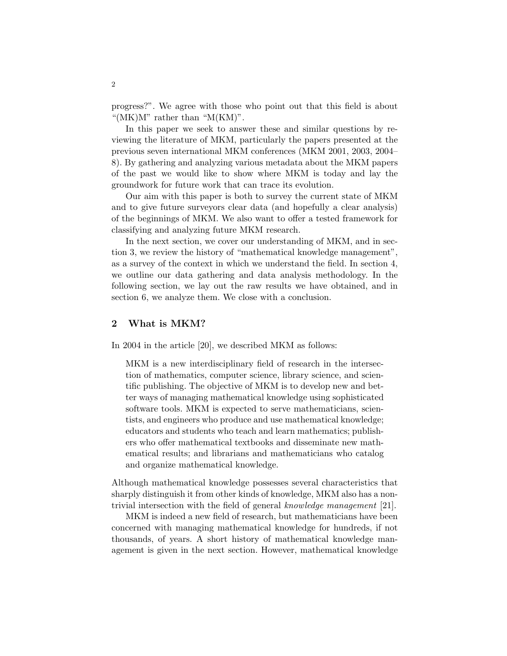progress?". We agree with those who point out that this field is about "( $MK$ ) $M$ " rather than " $M(KM)$ ".

In this paper we seek to answer these and similar questions by reviewing the literature of MKM, particularly the papers presented at the previous seven international MKM conferences (MKM 2001, 2003, 2004– 8). By gathering and analyzing various metadata about the MKM papers of the past we would like to show where MKM is today and lay the groundwork for future work that can trace its evolution.

Our aim with this paper is both to survey the current state of MKM and to give future surveyors clear data (and hopefully a clear analysis) of the beginnings of MKM. We also want to offer a tested framework for classifying and analyzing future MKM research.

In the next section, we cover our understanding of MKM, and in section 3, we review the history of "mathematical knowledge management", as a survey of the context in which we understand the field. In section 4, we outline our data gathering and data analysis methodology. In the following section, we lay out the raw results we have obtained, and in section 6, we analyze them. We close with a conclusion.

#### 2 What is MKM?

In 2004 in the article [20], we described MKM as follows:

MKM is a new interdisciplinary field of research in the intersection of mathematics, computer science, library science, and scientific publishing. The objective of MKM is to develop new and better ways of managing mathematical knowledge using sophisticated software tools. MKM is expected to serve mathematicians, scientists, and engineers who produce and use mathematical knowledge; educators and students who teach and learn mathematics; publishers who offer mathematical textbooks and disseminate new mathematical results; and librarians and mathematicians who catalog and organize mathematical knowledge.

Although mathematical knowledge possesses several characteristics that sharply distinguish it from other kinds of knowledge, MKM also has a nontrivial intersection with the field of general knowledge management [21].

MKM is indeed a new field of research, but mathematicians have been concerned with managing mathematical knowledge for hundreds, if not thousands, of years. A short history of mathematical knowledge management is given in the next section. However, mathematical knowledge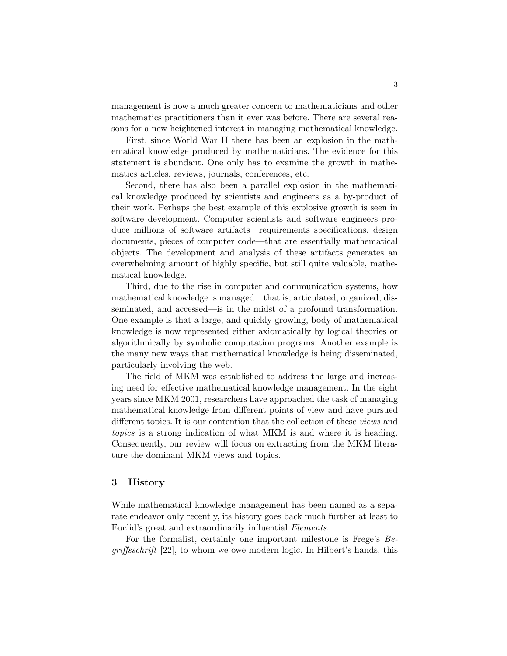management is now a much greater concern to mathematicians and other mathematics practitioners than it ever was before. There are several reasons for a new heightened interest in managing mathematical knowledge.

First, since World War II there has been an explosion in the mathematical knowledge produced by mathematicians. The evidence for this statement is abundant. One only has to examine the growth in mathematics articles, reviews, journals, conferences, etc.

Second, there has also been a parallel explosion in the mathematical knowledge produced by scientists and engineers as a by-product of their work. Perhaps the best example of this explosive growth is seen in software development. Computer scientists and software engineers produce millions of software artifacts—requirements specifications, design documents, pieces of computer code—that are essentially mathematical objects. The development and analysis of these artifacts generates an overwhelming amount of highly specific, but still quite valuable, mathematical knowledge.

Third, due to the rise in computer and communication systems, how mathematical knowledge is managed—that is, articulated, organized, disseminated, and accessed—is in the midst of a profound transformation. One example is that a large, and quickly growing, body of mathematical knowledge is now represented either axiomatically by logical theories or algorithmically by symbolic computation programs. Another example is the many new ways that mathematical knowledge is being disseminated, particularly involving the web.

The field of MKM was established to address the large and increasing need for effective mathematical knowledge management. In the eight years since MKM 2001, researchers have approached the task of managing mathematical knowledge from different points of view and have pursued different topics. It is our contention that the collection of these views and topics is a strong indication of what MKM is and where it is heading. Consequently, our review will focus on extracting from the MKM literature the dominant MKM views and topics.

## 3 History

While mathematical knowledge management has been named as a separate endeavor only recently, its history goes back much further at least to Euclid's great and extraordinarily influential Elements.

For the formalist, certainly one important milestone is Frege's Begriffsschrift [22], to whom we owe modern logic. In Hilbert's hands, this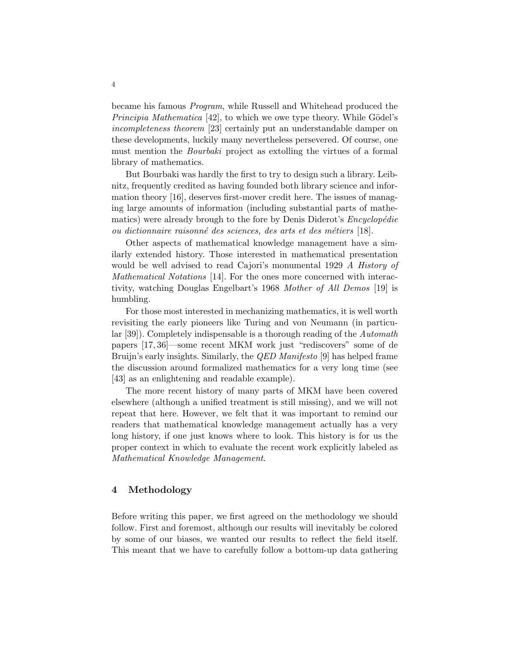became his famous Program, while Russell and Whitehead produced the *Principia Mathematica* [42], to which we owe type theory. While Gödel's incompleteness theorem [23] certainly put an understandable damper on these developments, luckily many nevertheless persevered. Of course, one must mention the *Bourbaki* project as extolling the virtues of a formal library of mathematics.

But Bourbaki was hardly the first to try to design such a library. Leibnitz, frequently credited as having founded both library science and information theory [16], deserves first-mover credit here. The issues of managing large amounts of information (including substantial parts of mathematics) were already brough to the fore by Denis Diderot's *Encyclopédie* ou dictionnaire raisonné des sciences, des arts et des métiers [18].

Other aspects of mathematical knowledge management have a similarly extended history. Those interested in mathematical presentation would be well advised to read Cajori's monumental 1929 A History of Mathematical Notations [14]. For the ones more concerned with interactivity, watching Douglas Engelbart's 1968 Mother of All Demos [19] is humbling.

For those most interested in mechanizing mathematics, it is well worth revisiting the early pioneers like Turing and von Neumann (in particular [39]). Completely indispensable is a thorough reading of the Automath papers [17, 36]—some recent MKM work just "rediscovers" some of de Bruijn's early insights. Similarly, the *QED Manifesto* [9] has helped frame the discussion around formalized mathematics for a very long time (see [43] as an enlightening and readable example).

The more recent history of many parts of MKM have been covered elsewhere (although a unified treatment is still missing), and we will not repeat that here. However, we felt that it was important to remind our readers that mathematical knowledge management actually has a very long history, if one just knows where to look. This history is for us the proper context in which to evaluate the recent work explicitly labeled as Mathematical Knowledge Management.

#### 4 Methodology

Before writing this paper, we first agreed on the methodology we should follow. First and foremost, although our results will inevitably be colored by some of our biases, we wanted our results to reflect the field itself. This meant that we have to carefully follow a bottom-up data gathering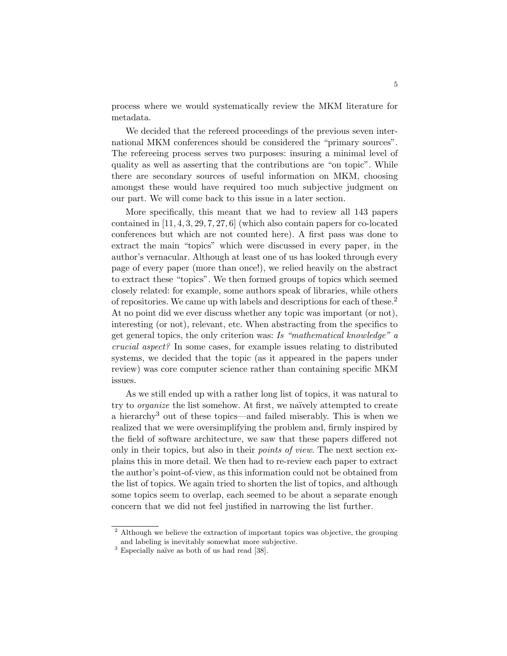process where we would systematically review the MKM literature for metadata.

We decided that the refereed proceedings of the previous seven international MKM conferences should be considered the "primary sources". The refereeing process serves two purposes: insuring a minimal level of quality as well as asserting that the contributions are "on topic". While there are secondary sources of useful information on MKM, choosing amongst these would have required too much subjective judgment on our part. We will come back to this issue in a later section.

More specifically, this meant that we had to review all 143 papers contained in [11, 4, 3, 29, 7, 27, 6] (which also contain papers for co-located conferences but which are not counted here). A first pass was done to extract the main "topics" which were discussed in every paper, in the author's vernacular. Although at least one of us has looked through every page of every paper (more than once!), we relied heavily on the abstract to extract these "topics". We then formed groups of topics which seemed closely related: for example, some authors speak of libraries, while others of repositories. We came up with labels and descriptions for each of these.<sup>2</sup> At no point did we ever discuss whether any topic was important (or not), interesting (or not), relevant, etc. When abstracting from the specifics to get general topics, the only criterion was: Is "mathematical knowledge" a crucial aspect? In some cases, for example issues relating to distributed systems, we decided that the topic (as it appeared in the papers under review) was core computer science rather than containing specific MKM issues.

As we still ended up with a rather long list of topics, it was natural to try to *organize* the list somehow. At first, we naïvely attempted to create a hierarchy<sup>3</sup> out of these topics—and failed miserably. This is when we realized that we were oversimplifying the problem and, firmly inspired by the field of software architecture, we saw that these papers differed not only in their topics, but also in their *points of view*. The next section explains this in more detail. We then had to re-review each paper to extract the author's point-of-view, as this information could not be obtained from the list of topics. We again tried to shorten the list of topics, and although some topics seem to overlap, each seemed to be about a separate enough concern that we did not feel justified in narrowing the list further.

<sup>&</sup>lt;sup>2</sup> Although we believe the extraction of important topics was objective, the grouping and labeling is inevitably somewhat more subjective.

 $3$  Especially naïve as both of us had read [38].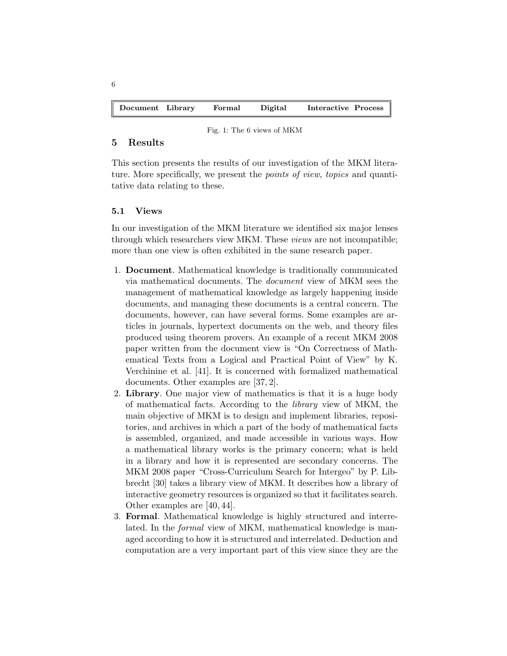| Document Library |  | Formal | Digital | Interactive Process |  |
|------------------|--|--------|---------|---------------------|--|
|------------------|--|--------|---------|---------------------|--|

#### Fig. 1: The 6 views of MKM

## 5 Results

6

This section presents the results of our investigation of the MKM literature. More specifically, we present the *points of view, topics* and quantitative data relating to these.

#### 5.1 Views

In our investigation of the MKM literature we identified six major lenses through which researchers view MKM. These views are not incompatible; more than one view is often exhibited in the same research paper.

- 1. Document. Mathematical knowledge is traditionally communicated via mathematical documents. The document view of MKM sees the management of mathematical knowledge as largely happening inside documents, and managing these documents is a central concern. The documents, however, can have several forms. Some examples are articles in journals, hypertext documents on the web, and theory files produced using theorem provers. An example of a recent MKM 2008 paper written from the document view is "On Correctness of Mathematical Texts from a Logical and Practical Point of View" by K. Verchinine et al. [41]. It is concerned with formalized mathematical documents. Other examples are [37, 2].
- 2. Library. One major view of mathematics is that it is a huge body of mathematical facts. According to the library view of MKM, the main objective of MKM is to design and implement libraries, repositories, and archives in which a part of the body of mathematical facts is assembled, organized, and made accessible in various ways. How a mathematical library works is the primary concern; what is held in a library and how it is represented are secondary concerns. The MKM 2008 paper "Cross-Curriculum Search for Intergeo" by P. Libbrecht [30] takes a library view of MKM. It describes how a library of interactive geometry resources is organized so that it facilitates search. Other examples are [40, 44].
- 3. Formal. Mathematical knowledge is highly structured and interrelated. In the formal view of MKM, mathematical knowledge is managed according to how it is structured and interrelated. Deduction and computation are a very important part of this view since they are the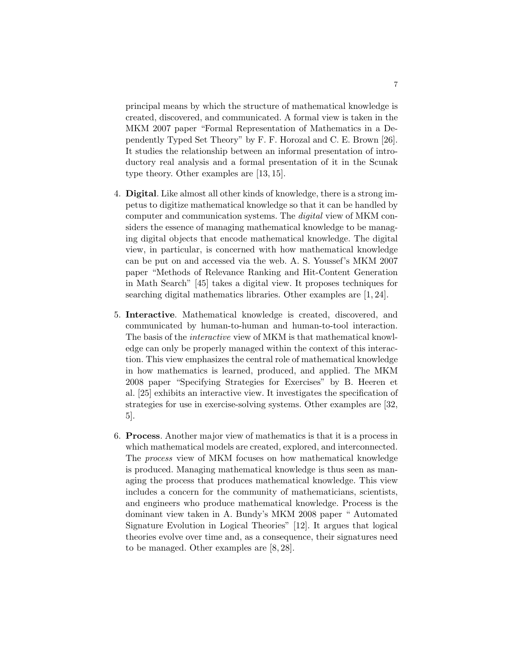principal means by which the structure of mathematical knowledge is created, discovered, and communicated. A formal view is taken in the MKM 2007 paper "Formal Representation of Mathematics in a Dependently Typed Set Theory" by F. F. Horozal and C. E. Brown [26]. It studies the relationship between an informal presentation of introductory real analysis and a formal presentation of it in the Scunak type theory. Other examples are [13, 15].

- 4. Digital. Like almost all other kinds of knowledge, there is a strong impetus to digitize mathematical knowledge so that it can be handled by computer and communication systems. The digital view of MKM considers the essence of managing mathematical knowledge to be managing digital objects that encode mathematical knowledge. The digital view, in particular, is concerned with how mathematical knowledge can be put on and accessed via the web. A. S. Youssef's MKM 2007 paper "Methods of Relevance Ranking and Hit-Content Generation in Math Search" [45] takes a digital view. It proposes techniques for searching digital mathematics libraries. Other examples are [1, 24].
- 5. Interactive. Mathematical knowledge is created, discovered, and communicated by human-to-human and human-to-tool interaction. The basis of the interactive view of MKM is that mathematical knowledge can only be properly managed within the context of this interaction. This view emphasizes the central role of mathematical knowledge in how mathematics is learned, produced, and applied. The MKM 2008 paper "Specifying Strategies for Exercises" by B. Heeren et al. [25] exhibits an interactive view. It investigates the specification of strategies for use in exercise-solving systems. Other examples are [32, 5].
- 6. Process. Another major view of mathematics is that it is a process in which mathematical models are created, explored, and interconnected. The process view of MKM focuses on how mathematical knowledge is produced. Managing mathematical knowledge is thus seen as managing the process that produces mathematical knowledge. This view includes a concern for the community of mathematicians, scientists, and engineers who produce mathematical knowledge. Process is the dominant view taken in A. Bundy's MKM 2008 paper " Automated Signature Evolution in Logical Theories" [12]. It argues that logical theories evolve over time and, as a consequence, their signatures need to be managed. Other examples are [8, 28].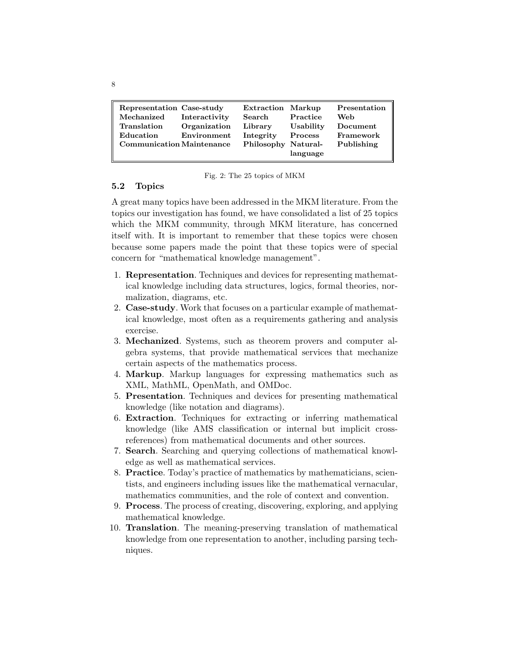| Representation Case-study<br>Mechanized | Interactivity | <b>Extraction Markup</b><br>Search | Practice       | Presentation<br>Web |
|-----------------------------------------|---------------|------------------------------------|----------------|---------------------|
| Translation                             | Organization  | Library                            | Usability      | Document            |
| Education                               | Environment   | Integrity                          | <b>Process</b> | Framework           |
| <b>Communication Maintenance</b>        |               | Philosophy Natural-                | language       | Publishing          |

|  |  |  |  |  |  | Fig. 2: The 25 topics of MKM |
|--|--|--|--|--|--|------------------------------|
|--|--|--|--|--|--|------------------------------|

#### 5.2 Topics

A great many topics have been addressed in the MKM literature. From the topics our investigation has found, we have consolidated a list of 25 topics which the MKM community, through MKM literature, has concerned itself with. It is important to remember that these topics were chosen because some papers made the point that these topics were of special concern for "mathematical knowledge management".

- 1. Representation. Techniques and devices for representing mathematical knowledge including data structures, logics, formal theories, normalization, diagrams, etc.
- 2. Case-study. Work that focuses on a particular example of mathematical knowledge, most often as a requirements gathering and analysis exercise.
- 3. Mechanized. Systems, such as theorem provers and computer algebra systems, that provide mathematical services that mechanize certain aspects of the mathematics process.
- 4. Markup. Markup languages for expressing mathematics such as XML, MathML, OpenMath, and OMDoc.
- 5. Presentation. Techniques and devices for presenting mathematical knowledge (like notation and diagrams).
- 6. Extraction. Techniques for extracting or inferring mathematical knowledge (like AMS classification or internal but implicit crossreferences) from mathematical documents and other sources.
- 7. Search. Searching and querying collections of mathematical knowledge as well as mathematical services.
- 8. Practice. Today's practice of mathematics by mathematicians, scientists, and engineers including issues like the mathematical vernacular, mathematics communities, and the role of context and convention.
- 9. Process. The process of creating, discovering, exploring, and applying mathematical knowledge.
- 10. Translation. The meaning-preserving translation of mathematical knowledge from one representation to another, including parsing techniques.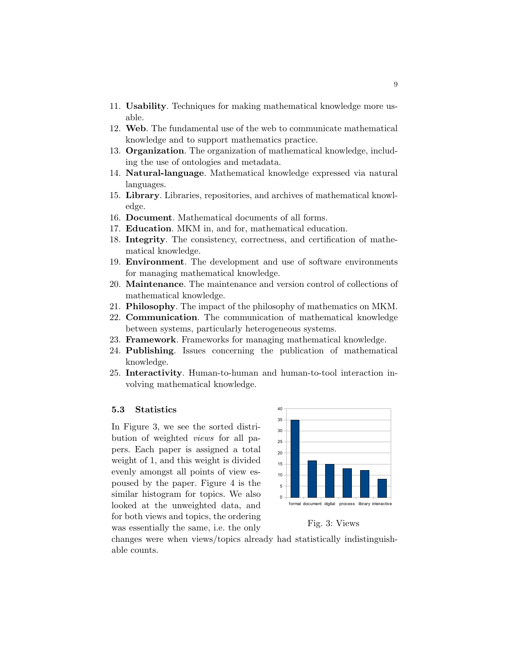- 11. Usability. Techniques for making mathematical knowledge more usable.
- 12. Web. The fundamental use of the web to communicate mathematical knowledge and to support mathematics practice.
- 13. Organization. The organization of mathematical knowledge, including the use of ontologies and metadata.
- 14. Natural-language. Mathematical knowledge expressed via natural languages.
- 15. Library. Libraries, repositories, and archives of mathematical knowledge.
- 16. Document. Mathematical documents of all forms.
- 17. Education. MKM in, and for, mathematical education.
- 18. Integrity. The consistency, correctness, and certification of mathematical knowledge.
- 19. Environment. The development and use of software environments for managing mathematical knowledge.
- 20. Maintenance. The maintenance and version control of collections of mathematical knowledge.
- 21. Philosophy. The impact of the philosophy of mathematics on MKM.
- 22. Communication. The communication of mathematical knowledge between systems, particularly heterogeneous systems.
- 23. Framework. Frameworks for managing mathematical knowledge.
- 24. Publishing. Issues concerning the publication of mathematical knowledge.
- 25. Interactivity. Human-to-human and human-to-tool interaction involving mathematical knowledge.

### 5.3 Statistics

In Figure 3, we see the sorted distribution of weighted views for all papers. Each paper is assigned a total weight of 1, and this weight is divided evenly amongst all points of view espoused by the paper. Figure 4 is the similar histogram for topics. We also looked at the unweighted data, and for both views and topics, the ordering was essentially the same, i.e. the only



Fig. 3: Views

changes were when views/topics already had statistically indistinguishable counts.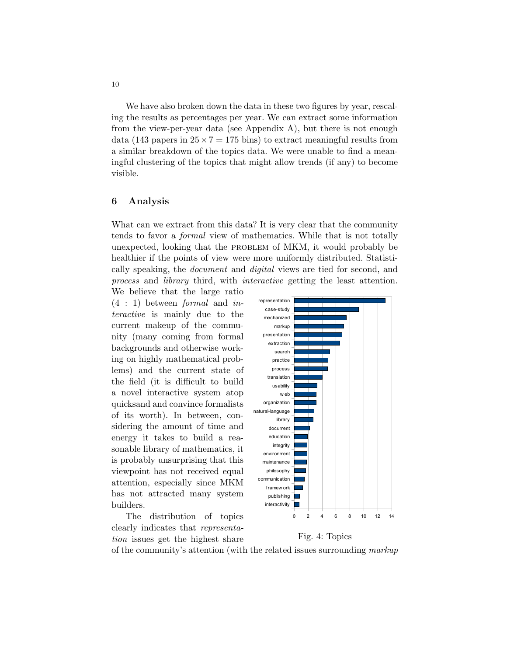We have also broken down the data in these two figures by year, rescaling the results as percentages per year. We can extract some information from the view-per-year data (see Appendix A), but there is not enough data (143 papers in  $25 \times 7 = 175$  bins) to extract meaningful results from a similar breakdown of the topics data. We were unable to find a meaningful clustering of the topics that might allow trends (if any) to become visible.

#### 6 Analysis

What can we extract from this data? It is very clear that the community tends to favor a formal view of mathematics. While that is not totally unexpected, looking that the problem of MKM, it would probably be healthier if the points of view were more uniformly distributed. Statistically speaking, the document and digital views are tied for second, and process and library third, with interactive getting the least attention.

We believe that the large ratio  $(4 : 1)$  between *formal* and *in*teractive is mainly due to the current makeup of the community (many coming from formal backgrounds and otherwise working on highly mathematical problems) and the current state of the field (it is difficult to build a novel interactive system atop quicksand and convince formalists of its worth). In between, considering the amount of time and energy it takes to build a reasonable library of mathematics, it is probably unsurprising that this viewpoint has not received equal attention, especially since MKM has not attracted many system builders.

The distribution of topics clearly indicates that representation issues get the highest share





of the community's attention (with the related issues surrounding markup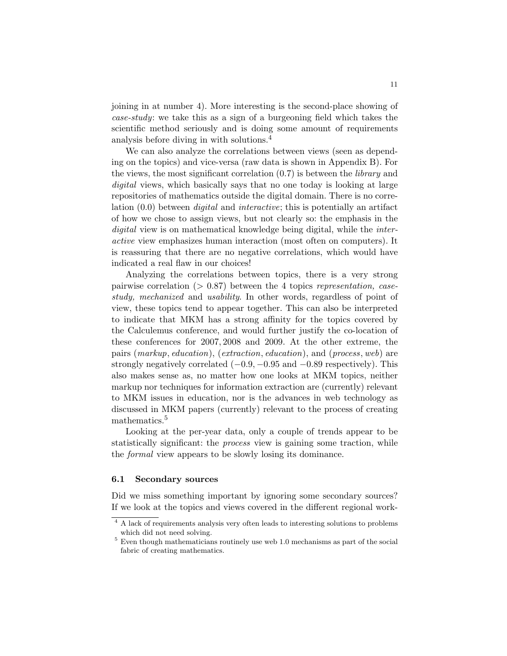joining in at number 4). More interesting is the second-place showing of case-study: we take this as a sign of a burgeoning field which takes the scientific method seriously and is doing some amount of requirements analysis before diving in with solutions.<sup>4</sup>

We can also analyze the correlations between views (seen as depending on the topics) and vice-versa (raw data is shown in Appendix B). For the views, the most significant correlation  $(0.7)$  is between the *library* and digital views, which basically says that no one today is looking at large repositories of mathematics outside the digital domain. There is no correlation (0.0) between digital and interactive; this is potentially an artifact of how we chose to assign views, but not clearly so: the emphasis in the digital view is on mathematical knowledge being digital, while the *inter*active view emphasizes human interaction (most often on computers). It is reassuring that there are no negative correlations, which would have indicated a real flaw in our choices!

Analyzing the correlations between topics, there is a very strong pairwise correlation  $(> 0.87)$  between the 4 topics representation, casestudy, mechanized and usability. In other words, regardless of point of view, these topics tend to appear together. This can also be interpreted to indicate that MKM has a strong affinity for the topics covered by the Calculemus conference, and would further justify the co-location of these conferences for 2007, 2008 and 2009. At the other extreme, the pairs (markup, education), (extraction, education), and (process, web) are strongly negatively correlated  $(-0.9, -0.95, \text{and } -0.89)$  respectively). This also makes sense as, no matter how one looks at MKM topics, neither markup nor techniques for information extraction are (currently) relevant to MKM issues in education, nor is the advances in web technology as discussed in MKM papers (currently) relevant to the process of creating mathematics.<sup>5</sup>

Looking at the per-year data, only a couple of trends appear to be statistically significant: the *process* view is gaining some traction, while the formal view appears to be slowly losing its dominance.

#### 6.1 Secondary sources

Did we miss something important by ignoring some secondary sources? If we look at the topics and views covered in the different regional work-

<sup>4</sup> A lack of requirements analysis very often leads to interesting solutions to problems which did not need solving.

<sup>5</sup> Even though mathematicians routinely use web 1.0 mechanisms as part of the social fabric of creating mathematics.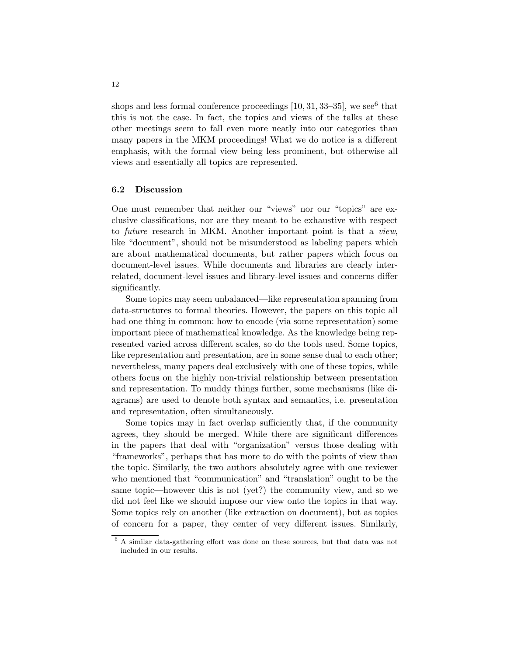shops and less formal conference proceedings  $[10, 31, 33-35]$ , we see<sup>6</sup> that this is not the case. In fact, the topics and views of the talks at these other meetings seem to fall even more neatly into our categories than many papers in the MKM proceedings! What we do notice is a different emphasis, with the formal view being less prominent, but otherwise all views and essentially all topics are represented.

#### 6.2 Discussion

One must remember that neither our "views" nor our "topics" are exclusive classifications, nor are they meant to be exhaustive with respect to future research in MKM. Another important point is that a view, like "document", should not be misunderstood as labeling papers which are about mathematical documents, but rather papers which focus on document-level issues. While documents and libraries are clearly interrelated, document-level issues and library-level issues and concerns differ significantly.

Some topics may seem unbalanced—like representation spanning from data-structures to formal theories. However, the papers on this topic all had one thing in common: how to encode (via some representation) some important piece of mathematical knowledge. As the knowledge being represented varied across different scales, so do the tools used. Some topics, like representation and presentation, are in some sense dual to each other; nevertheless, many papers deal exclusively with one of these topics, while others focus on the highly non-trivial relationship between presentation and representation. To muddy things further, some mechanisms (like diagrams) are used to denote both syntax and semantics, i.e. presentation and representation, often simultaneously.

Some topics may in fact overlap sufficiently that, if the community agrees, they should be merged. While there are significant differences in the papers that deal with "organization" versus those dealing with "frameworks", perhaps that has more to do with the points of view than the topic. Similarly, the two authors absolutely agree with one reviewer who mentioned that "communication" and "translation" ought to be the same topic—however this is not (yet?) the community view, and so we did not feel like we should impose our view onto the topics in that way. Some topics rely on another (like extraction on document), but as topics of concern for a paper, they center of very different issues. Similarly,

<sup>6</sup> A similar data-gathering effort was done on these sources, but that data was not included in our results.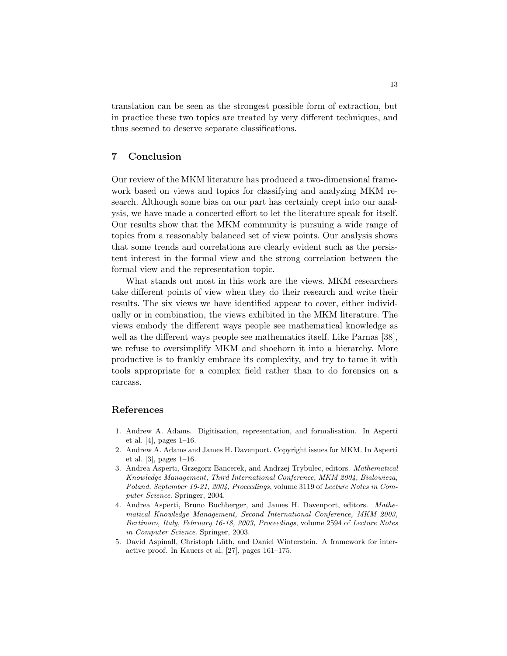translation can be seen as the strongest possible form of extraction, but in practice these two topics are treated by very different techniques, and thus seemed to deserve separate classifications.

## 7 Conclusion

Our review of the MKM literature has produced a two-dimensional framework based on views and topics for classifying and analyzing MKM research. Although some bias on our part has certainly crept into our analysis, we have made a concerted effort to let the literature speak for itself. Our results show that the MKM community is pursuing a wide range of topics from a reasonably balanced set of view points. Our analysis shows that some trends and correlations are clearly evident such as the persistent interest in the formal view and the strong correlation between the formal view and the representation topic.

What stands out most in this work are the views. MKM researchers take different points of view when they do their research and write their results. The six views we have identified appear to cover, either individually or in combination, the views exhibited in the MKM literature. The views embody the different ways people see mathematical knowledge as well as the different ways people see mathematics itself. Like Parnas [38], we refuse to oversimplify MKM and shoehorn it into a hierarchy. More productive is to frankly embrace its complexity, and try to tame it with tools appropriate for a complex field rather than to do forensics on a carcass.

## References

- 1. Andrew A. Adams. Digitisation, representation, and formalisation. In Asperti et al. [4], pages 1–16.
- 2. Andrew A. Adams and James H. Davenport. Copyright issues for MKM. In Asperti et al. [3], pages 1–16.
- 3. Andrea Asperti, Grzegorz Bancerek, and Andrzej Trybulec, editors. Mathematical Knowledge Management, Third International Conference, MKM 2004, Bialowieza, Poland, September 19-21, 2004, Proceedings, volume 3119 of Lecture Notes in Computer Science. Springer, 2004.
- 4. Andrea Asperti, Bruno Buchberger, and James H. Davenport, editors. Mathematical Knowledge Management, Second International Conference, MKM 2003, Bertinoro, Italy, February 16-18, 2003, Proceedings, volume 2594 of Lecture Notes in Computer Science. Springer, 2003.
- 5. David Aspinall, Christoph Lüth, and Daniel Winterstein. A framework for interactive proof. In Kauers et al. [27], pages 161–175.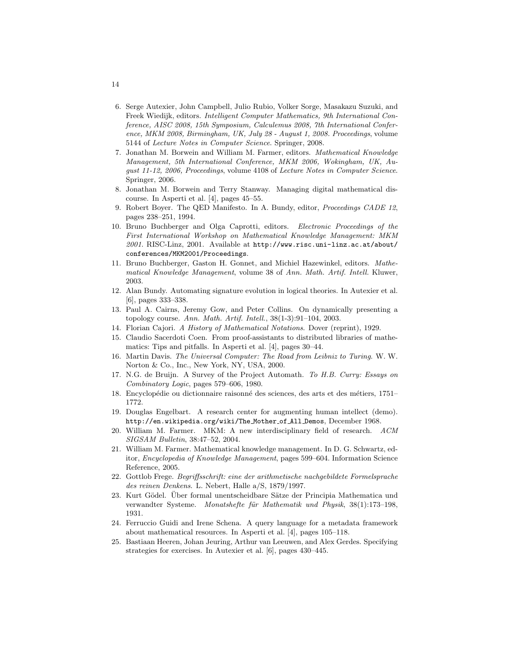- 6. Serge Autexier, John Campbell, Julio Rubio, Volker Sorge, Masakazu Suzuki, and Freek Wiedijk, editors. Intelligent Computer Mathematics, 9th International Conference, AISC 2008, 15th Symposium, Calculemus 2008, 7th International Conference, MKM 2008, Birmingham, UK, July 28 - August 1, 2008. Proceedings, volume 5144 of Lecture Notes in Computer Science. Springer, 2008.
- 7. Jonathan M. Borwein and William M. Farmer, editors. Mathematical Knowledge Management, 5th International Conference, MKM 2006, Wokingham, UK, August 11-12, 2006, Proceedings, volume 4108 of Lecture Notes in Computer Science. Springer, 2006.
- 8. Jonathan M. Borwein and Terry Stanway. Managing digital mathematical discourse. In Asperti et al. [4], pages 45–55.
- 9. Robert Boyer. The QED Manifesto. In A. Bundy, editor, Proceedings CADE 12, pages 238–251, 1994.
- 10. Bruno Buchberger and Olga Caprotti, editors. Electronic Proceedings of the First International Workshop on Mathematical Knowledge Management: MKM 2001. RISC-Linz, 2001. Available at http://www.risc.uni-linz.ac.at/about/ conferences/MKM2001/Proceedings.
- 11. Bruno Buchberger, Gaston H. Gonnet, and Michiel Hazewinkel, editors. Mathematical Knowledge Management, volume 38 of Ann. Math. Artif. Intell. Kluwer, 2003.
- 12. Alan Bundy. Automating signature evolution in logical theories. In Autexier et al. [6], pages 333–338.
- 13. Paul A. Cairns, Jeremy Gow, and Peter Collins. On dynamically presenting a topology course. Ann. Math. Artif. Intell., 38(1-3):91–104, 2003.
- 14. Florian Cajori. A History of Mathematical Notations. Dover (reprint), 1929.
- 15. Claudio Sacerdoti Coen. From proof-assistants to distributed libraries of mathematics: Tips and pitfalls. In Asperti et al. [4], pages 30–44.
- 16. Martin Davis. The Universal Computer: The Road from Leibniz to Turing. W. W. Norton & Co., Inc., New York, NY, USA, 2000.
- 17. N.G. de Bruijn. A Survey of the Project Automath. To H.B. Curry: Essays on Combinatory Logic, pages 579–606, 1980.
- 18. Encyclopédie ou dictionnaire raisonné des sciences, des arts et des métiers, 1751– 1772.
- 19. Douglas Engelbart. A research center for augmenting human intellect (demo). http://en.wikipedia.org/wiki/The Mother of All Demos, December 1968.
- 20. William M. Farmer. MKM: A new interdisciplinary field of research. ACM SIGSAM Bulletin, 38:47–52, 2004.
- 21. William M. Farmer. Mathematical knowledge management. In D. G. Schwartz, editor, Encyclopedia of Knowledge Management, pages 599–604. Information Science Reference, 2005.
- 22. Gottlob Frege. Begriffsschrift: eine der arithmetische nachgebildete Formelsprache des reinen Denkens. L. Nebert, Halle a/S, 1879/1997.
- 23. Kurt Gödel. Über formal unentscheidbare Sätze der Principia Mathematica und verwandter Systeme. Monatshefte für Mathematik und Physik, 38(1):173–198, 1931.
- 24. Ferruccio Guidi and Irene Schena. A query language for a metadata framework about mathematical resources. In Asperti et al. [4], pages 105–118.
- 25. Bastiaan Heeren, Johan Jeuring, Arthur van Leeuwen, and Alex Gerdes. Specifying strategies for exercises. In Autexier et al. [6], pages 430–445.

14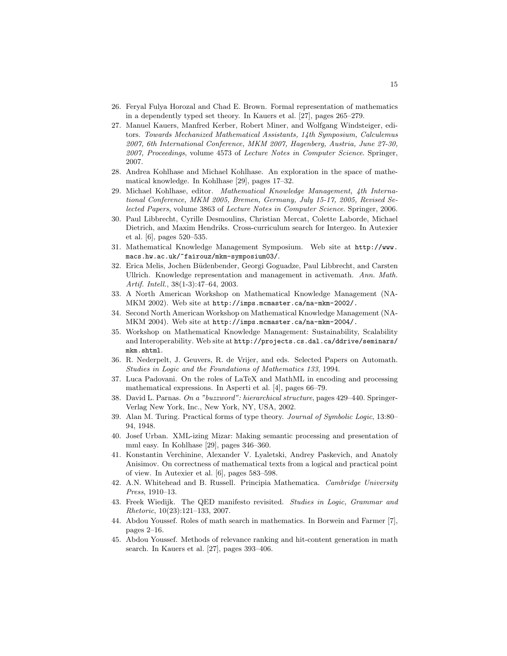- 26. Feryal Fulya Horozal and Chad E. Brown. Formal representation of mathematics in a dependently typed set theory. In Kauers et al. [27], pages 265–279.
- 27. Manuel Kauers, Manfred Kerber, Robert Miner, and Wolfgang Windsteiger, editors. Towards Mechanized Mathematical Assistants, 14th Symposium, Calculemus 2007, 6th International Conference, MKM 2007, Hagenberg, Austria, June 27-30, 2007, Proceedings, volume 4573 of Lecture Notes in Computer Science. Springer, 2007.
- 28. Andrea Kohlhase and Michael Kohlhase. An exploration in the space of mathematical knowledge. In Kohlhase [29], pages 17–32.
- 29. Michael Kohlhase, editor. Mathematical Knowledge Management, 4th International Conference, MKM 2005, Bremen, Germany, July 15-17, 2005, Revised Selected Papers, volume 3863 of Lecture Notes in Computer Science. Springer, 2006.
- 30. Paul Libbrecht, Cyrille Desmoulins, Christian Mercat, Colette Laborde, Michael Dietrich, and Maxim Hendriks. Cross-curriculum search for Intergeo. In Autexier et al. [6], pages 520–535.
- 31. Mathematical Knowledge Management Symposium. Web site at http://www. macs.hw.ac.uk/~fairouz/mkm-symposium03/.
- 32. Erica Melis, Jochen B¨udenbender, Georgi Goguadze, Paul Libbrecht, and Carsten Ullrich. Knowledge representation and management in activemath. Ann. Math. Artif. Intell., 38(1-3):47–64, 2003.
- 33. A North American Workshop on Mathematical Knowledge Management (NA-MKM 2002). Web site at http://imps.mcmaster.ca/na-mkm-2002/.
- 34. Second North American Workshop on Mathematical Knowledge Management (NA-MKM 2004). Web site at http://imps.mcmaster.ca/na-mkm-2004/.
- 35. Workshop on Mathematical Knowledge Management: Sustainability, Scalability and Interoperability. Web site at http://projects.cs.dal.ca/ddrive/seminars/ mkm.shtml.
- 36. R. Nederpelt, J. Geuvers, R. de Vrijer, and eds. Selected Papers on Automath. Studies in Logic and the Foundations of Mathematics 133, 1994.
- 37. Luca Padovani. On the roles of LaTeX and MathML in encoding and processing mathematical expressions. In Asperti et al. [4], pages 66–79.
- 38. David L. Parnas. On a "buzzword": hierarchical structure, pages 429–440. Springer-Verlag New York, Inc., New York, NY, USA, 2002.
- 39. Alan M. Turing. Practical forms of type theory. Journal of Symbolic Logic, 13:80– 94, 1948.
- 40. Josef Urban. XML-izing Mizar: Making semantic processing and presentation of mml easy. In Kohlhase [29], pages 346–360.
- 41. Konstantin Verchinine, Alexander V. Lyaletski, Andrey Paskevich, and Anatoly Anisimov. On correctness of mathematical texts from a logical and practical point of view. In Autexier et al. [6], pages 583–598.
- 42. A.N. Whitehead and B. Russell. Principia Mathematica. Cambridge University Press, 1910–13.
- 43. Freek Wiedijk. The QED manifesto revisited. Studies in Logic, Grammar and Rhetoric, 10(23):121–133, 2007.
- 44. Abdou Youssef. Roles of math search in mathematics. In Borwein and Farmer [7], pages 2–16.
- 45. Abdou Youssef. Methods of relevance ranking and hit-content generation in math search. In Kauers et al. [27], pages 393–406.